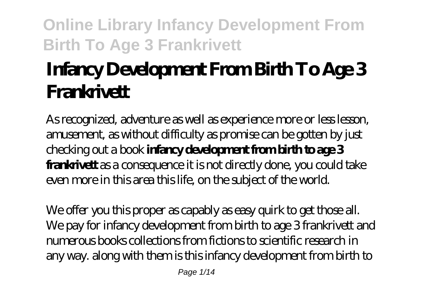# **Infancy Development From Birth To Age 3 Frankrivett**

As recognized, adventure as well as experience more or less lesson, amusement, as without difficulty as promise can be gotten by just checking out a book **infancy development from birth to age 3 frankrivett** as a consequence it is not directly done, you could take even more in this area this life, on the subject of the world.

We offer you this proper as capably as easy quirk to get those all. We pay for infancy development from birth to age 3 frankrivett and numerous books collections from fictions to scientific research in any way. along with them is this infancy development from birth to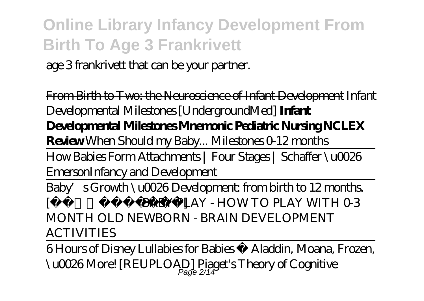age 3 frankrivett that can be your partner.

From Birth to Two: the Neuroscience of Infant Development *Infant Developmental Milestones [UndergroundMed]* **Infant Developmental Milestones Mnemonic Pediatric Nursing NCLEX Review** *When Should my Baby... Milestones 0-12 months* How Babies Form Attachments | Four Stages | Schaffer \u0026 Emerson*Infancy and Development* Baby's Growth \u0026 Development: from birth to 12 months.  $IBABY P LAY - HOW TO PLAY WITH O3$ *MONTH OLD NEWBORN - BRAIN DEVELOPMENT ACTIVITIES*

6 Hours of Disney Lullabies for Babies Aladdin, Moana, Frozen, \u0026More! [REUPLOAD] Piaget's Theory of Cognitive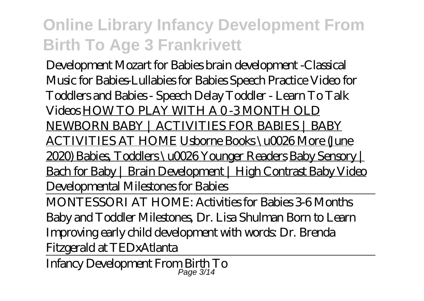Development Mozart for Babies brain development -Classical Music for Babies-Lullabies for Babies *Speech Practice Video for Toddlers and Babies - Speech Delay Toddler - Learn To Talk Videos* HOW TO PLAY WITH A 0 -3 MONTH OLD NEWBORN BABY | ACTIVITIES FOR BABIES | BABY ACTIVITIES AT HOME Usborne Books \u0026 More (June 2020) Babies, Toddlers \u0026 Younger Readers Baby Sensory | Bach for Baby | Brain Development | High Contrast Baby Video *Developmental Milestones for Babies*

MONTESSORI AT HOME: Activities for Babies 3-6 Months Baby and Toddler Milestones, Dr. Lisa Shulman Born to Learn Improving early child development with words: Dr. Brenda Fitzgerald at TEDxAtlanta

Infancy Development From Birth To Page 3/14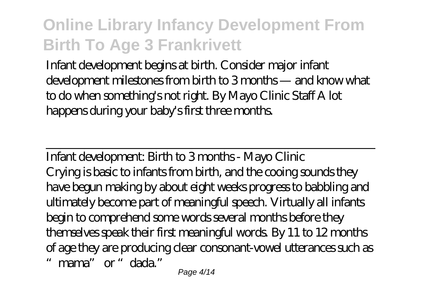Infant development begins at birth. Consider major infant development milestones from birth to 3 months — and know what to do when something's not right. By Mayo Clinic Staff A lot happens during your baby's first three months.

Infant development: Birth to 3 months - Mayo Clinic Crying is basic to infants from birth, and the cooing sounds they have begun making by about eight weeks progress to babbling and ultimately become part of meaningful speech. Virtually all infants begin to comprehend some words several months before they themselves speak their first meaningful words. By 11 to 12 months of age they are producing clear consonant-vowel utterances such as mama" or "dada."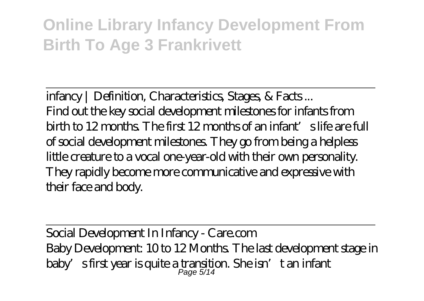infancy | Definition, Characteristics, Stages, & Facts ... Find out the key social development milestones for infants from birth to 12 months. The first 12 months of an infant's life are full of social development milestones. They go from being a helpless little creature to a vocal one-year-old with their own personality. They rapidly become more communicative and expressive with their face and body.

Social Development In Infancy - Care.com Baby Development: 10 to 12 Months. The last development stage in baby's first year is quite a transition. She isn't an infant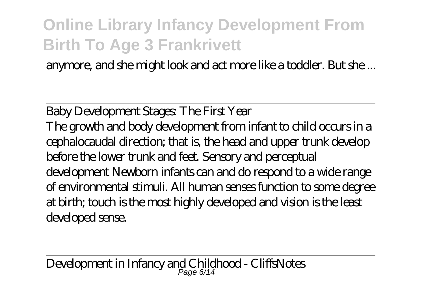anymore, and she might look and act more like a toddler. But she ...

Baby Development Stages: The First Year The growth and body development from infant to child occurs in a cephalocaudal direction; that is, the head and upper trunk develop before the lower trunk and feet. Sensory and perceptual development Newborn infants can and do respond to a wide range of environmental stimuli. All human senses function to some degree at birth; touch is the most highly developed and vision is the least developed sense.

Development in Infancy and Childhood - CliffsNotes Page 6/14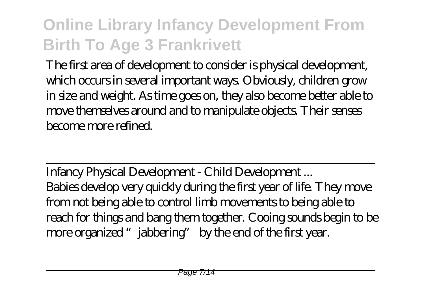The first area of development to consider is physical development, which occurs in several important ways. Obviously, children grow in size and weight. As time goes on, they also become better able to move themselves around and to manipulate objects. Their senses become more refined.

Infancy Physical Development - Child Development ... Babies develop very quickly during the first year of life. They move from not being able to control limb movements to being able to reach for things and bang them together. Cooing sounds begin to be more organized "jabbering" by the end of the first year.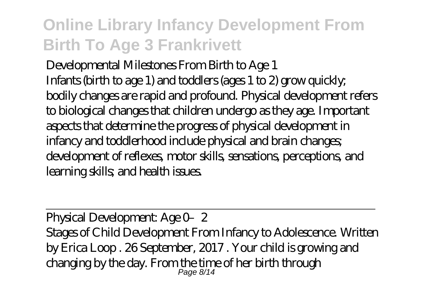Developmental Milestones From Birth to Age 1 Infants (birth to age 1) and toddlers (ages 1 to 2) grow quickly; bodily changes are rapid and profound. Physical development refers to biological changes that children undergo as they age. Important aspects that determine the progress of physical development in infancy and toddlerhood include physical and brain changes; development of reflexes, motor skills, sensations, perceptions, and learning skills; and health issues.

Physical Development: Age 0-2 Stages of Child Development From Infancy to Adolescence. Written by Erica Loop . 26 September, 2017 . Your child is growing and changing by the day. From the time of her birth through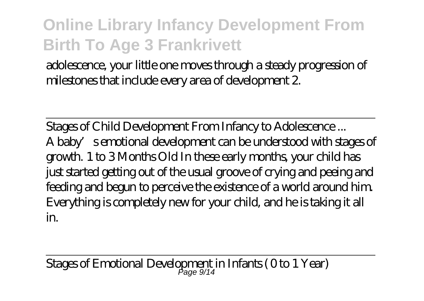adolescence, your little one moves through a steady progression of milestones that include every area of development 2.

Stages of Child Development From Infancy to Adolescence ... A baby's emotional development can be understood with stages of growth. 1 to 3 Months Old In these early months, your child has just started getting out of the usual groove of crying and peeing and feeding and begun to perceive the existence of a world around him. Everything is completely new for your child, and he is taking it all in.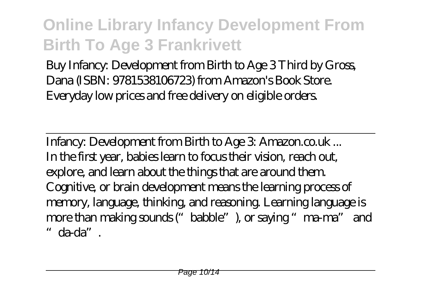Buy Infancy: Development from Birth to Age 3 Third by Gross, Dana (ISBN: 9781538106723) from Amazon's Book Store. Everyday low prices and free delivery on eligible orders.

Infancy: Development from Birth to Age  $3$  Amazon.co.uk... In the first year, babies learn to focus their vision, reach out, explore, and learn about the things that are around them. Cognitive, or brain development means the learning process of memory, language, thinking, and reasoning. Learning language is more than making sounds ("babble"), or saying "ma-ma" and "da-da".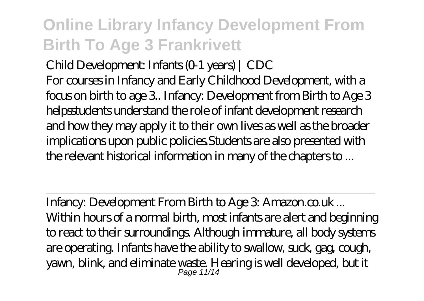Child Development: Infants (0-1 years) | CDC For courses in Infancy and Early Childhood Development, with a focus on birth to age 3.. Infancy: Development from Birth to Age 3 helpsstudents understand the role of infant development research and how they may apply it to their own lives as well as the broader implications upon public policies.Students are also presented with the relevant historical information in many of the chapters to ...

Infancy: Development From Birth to Age 3: Amazon.co.uk... Within hours of a normal birth, most infants are alert and beginning to react to their surroundings. Although immature, all body systems are operating. Infants have the ability to swallow, suck, gag, cough, yawn, blink, and eliminate waste. Hearing is well developed, but it Page 11/14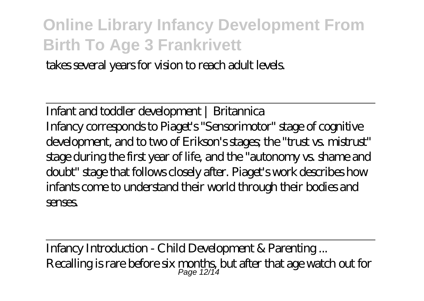takes several years for vision to reach adult levels.

Infant and toddler development | Britannica Infancy corresponds to Piaget's "Sensorimotor" stage of cognitive development, and to two of Erikson's stages; the "trust vs. mistrust" stage during the first year of life, and the "autonomy vs. shame and doubt" stage that follows closely after. Piaget's work describes how infants come to understand their world through their bodies and senses.

Infancy Introduction - Child Development & Parenting ... Recalling is rare before  $\sin$  months, but after that age watch out for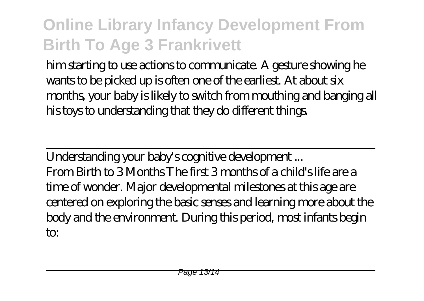him starting to use actions to communicate. A gesture showing he wants to be picked up is often one of the earliest. At about six months, your baby is likely to switch from mouthing and banging all his toys to understanding that they do different things.

Understanding your baby's cognitive development ... From Birth to 3 Months The first 3 months of a child's life are a time of wonder. Major developmental milestones at this age are centered on exploring the basic senses and learning more about the body and the environment. During this period, most infants begin to: